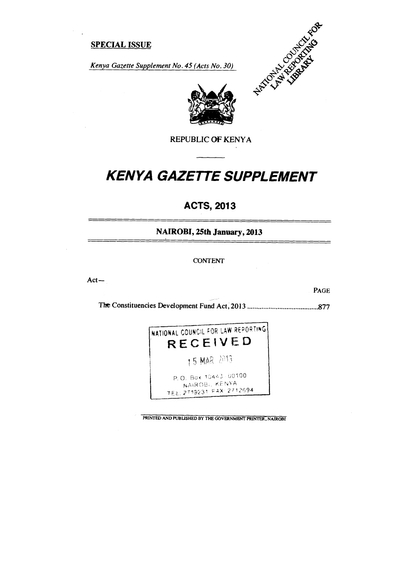### **SPECIAL ISSUE**

*Kenya Gazette Supplement No. 45 (Acts No. 30)* 





REPUBLIC OF KENYA

# *KENYA GAZETTE SUPPLEMENT*

# **ACTS, 2013**

**NAIROBI, 25th January, 2013** 

CONTENT

Act—

PAGE

The Constituencies Development Fund Act, 2013 877



**PRINTED AND PUBLISHED BY THE GOVERNMENT PRINTER, NAIROBI**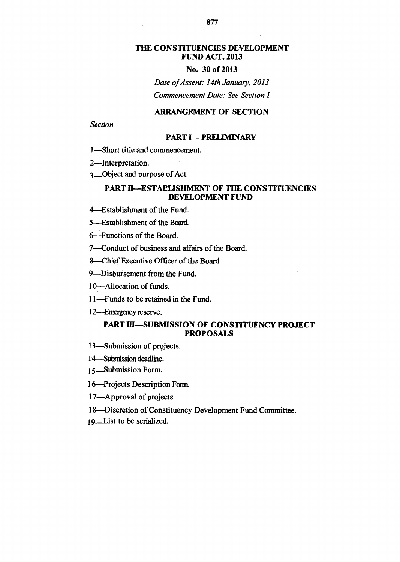### **THE CONSTITUENCIES DEVELOPMENT FUND ACT, 2013**

### **No. 30 of 2013**

*Date of Assent: 14th January, 2013 Commencement Date: See Section 1* 

### **ARRANGEMENT OF SECTION**

*Section* 

#### **PART I —PRELIMINARY**

1—Short title and commencement.

2—Interpretation.

3—Object and purpose of Act.

### **PART II—ESTABLISHMENT OF THE CONSTITUENCIES DEVELOPMENT FUND**

4—Establishment of the Fund.

5—Establishment of the Board.

6—Functions of the Board.

7—Conduct of business and affairs of the Board.

8—Chief Executive Officer of the Board.

9—Disbursement from the Fund.

10—Allocation of funds.

- 11—Funds to be retained in the Fund.
- 12—Emergency reserve.

### **PART III—SUBMISSION OF CONSTITUENCY PROJECT PROPOSALS**

- 13—Submission of projects.
- 1 4—Subnission deadline.
- 15\_\_Submission Form.

16—Projects Description Rm.

- 17-Approval of projects.
- 18—Discretion of Constituency Development Fund Committee.
- 19. List to be serialized.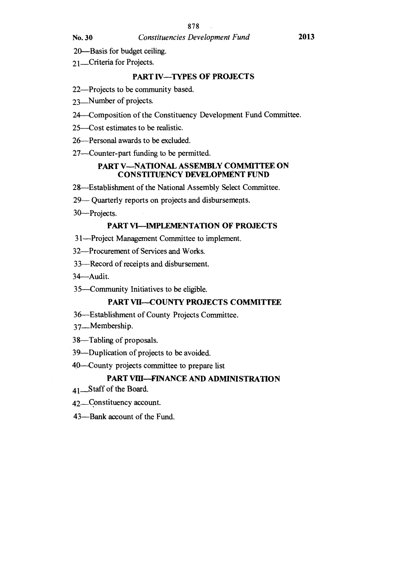- 20—Basis for budget ceiling.
- 21\_Criteria for Projects.

### **PART IV—TYPES OF PROJECTS**

- 22—Projects to be community based.
- 23—Number of projects.
- 24—Composition of the Constituency Development Fund Committee.
- 25—Cost estimates to be realistic.
- 26—Personal awards to be excluded.
- 27—Counter-part funding to be permitted.

#### **PART V—NATIONAL ASSEMBLY COMMITTEE ON CONSTITUENCY DEVELOPMENT FUND**

- 28—Establishment of the National Assembly Select Committee.
- 29— Quarterly reports on projects and disbursements.
- 30—Projects.

### **PART VI—IMPLEMENTATION OF PROJECTS**

- 31—Project Management Committee to implement.
- 32—Procurement of Services and Works.
- 33—Record of receipts and disbursement.
- 34—Audit.
- 35—Community Initiatives to be eligible.

### **PART VII—COUNTY PROJECTS COMMITTEE**

- 36—Establishment of County Projects Committee.
- 37—Membership.
- 38—Tabling of proposals.
- 39—Duplication of projects to be avoided.
- 40 County projects committee to prepare list

### **PART VIII—FINANCE AND ADMINISTRATION**

- 41\_Staff of the Board.
- 42—Constituency account.
- 43—Bank account of the Fund.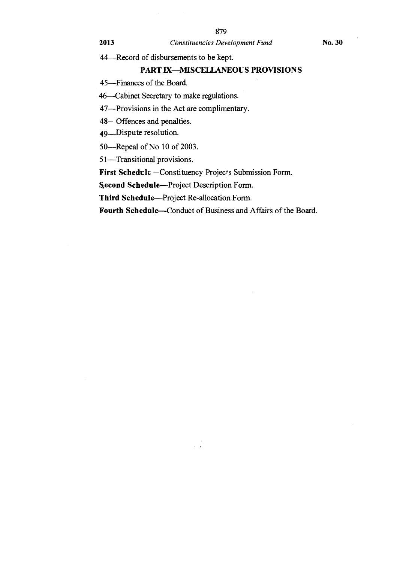44—Record of disbursements to be kept.

### **PART IX—MISCELLANEOUS PROVISIONS**

**45—Finances of** the Board.

46 Cabinet Secretary to make regulations.

47—Provisions in the Act are complimentary.

48—Offences and penalties.

49—Dispute resolution.

50—Repeal of No 10 of 2003.

51—Transitional provisions.

**First Schedule** —Constituency Projects Submission Form.

s**econd Schedule—Project Description Form.** 

**Third Schedule—Project** Re-allocation Form.

**Fourth Schedule—Conduct of Business and Affairs of the Board.**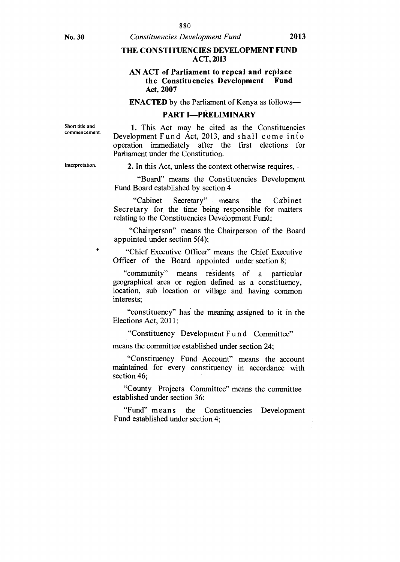### **THE CONSTITUENCIES DEVELOPMENT FUND ACT, 2013**

### **AN ACT of Parliament to repeal and replace the Constituencies Development Fund Act, 2007**

**ENACTED** by the Parliament of Kenya as follows—

#### **PART I—PRELIMINARY**

Short title and commencement.

**1.** This Act may be cited as the Constituencies Development F und Act, 2013, and shall come into operation immediately after the first elections for Parliament under the Constitution.

Interpretation.

**2.** In this Act, unless the context otherwise requires, -

"Board" means the Constituencies Development Fund Board established by section 4

"Cabinet Secretary" means the Cabinet Secretary for the time being responsible for matters relating to the Constituencies Development Fund;

"Chairperson" means the Chairperson of the Board appointed under section 5(4);

"Chief Executive Officer" means the Chief Executive Officer of the Board appointed under section 8;

"community" means residents of a particular geographical area or region defined as a constituency, location, sub location or village and having common interests;

"constituency" has the meaning assigned to it in the Elections Act, 2011;

"Constituency Development Fund Committee"

means the committee established under section 24;

"Constituency Fund Account" means the account maintained for every constituency in accordance with section 46;

"County Projects Committee" means the committee established under section 36;

"Fund" means the Constituencies Development Fund established under section 4;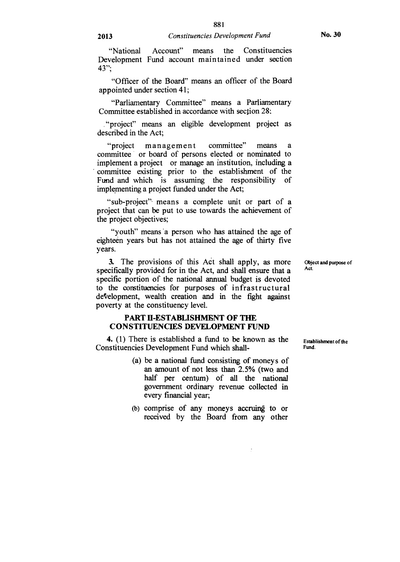"National Account" means the Constituencies Development Fund account maintained under section 43";

"Officer of the Board" means an officer of the Board appointed under section 41;

"Parliamentary Committee" means a Parliamentary Committee established in accordance with section 28:

."project" means an eligible development project as described in the Act;

"project management committee" means a committee or board of persons elected or nominated to implement a project or manage an institution, including a committee existing prior to the establishment of the Fund and which is assuming the responsibility of implementing a project funded under the Act;

"sub-project"• means a complete unit or part of a project that can be put to use towards the achievement of the project objectives;

"youth" means 'a person who has attained the age of eighteen years but has not attained the age of thirty five years.

3. The provisions of this Act shall apply, as more Object and purpose of  $\alpha$  is fixed to the  $\alpha$  of  $\alpha$  and chall apply  $\alpha$  and  $\alpha$  and  $\alpha$  and  $\alpha$  and  $\alpha$  and  $\alpha$  and  $\alpha$  and  $\alpha$  and  $\alpha$  and  $\alpha$  and  $\alpha$  and specifically provided for in the Act, and shall ensure that a specific portion of the national annual budget is devoted to the constituencies for purposes of infrastructural development, wealth creation and in the fight against poverty at the constituency level.

#### **PART II-ESTABLISHMENT OF THE CONSTITUENCIES DEVELOPMENT FUND**

4. (1) There is established a fund to be known as the Constituencies Development Fund which shall-

- (a) be a national fund consisting of moneys of an amount of not less than 2.5% (two and half per centum) of all the national government ordinary revenue collected in every financial year;
- (b) comprise of any moneys accruing to or received by the Board from any other

Establishment of the Fund.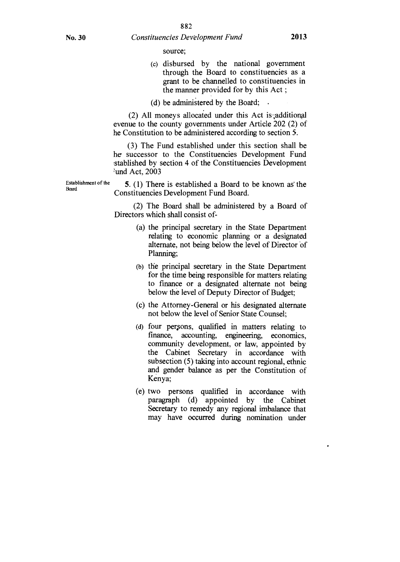source;

- (c) disbursed by the national government through the Board to constituencies as a grant to be channelled to constituencies in the manner provided for by this Act ;
- (d) be administered by the Board;

 $(2)$  All moneys allocated under this Act is additional evenue to the county governments under Article 202 (2) of he Constitution to be administered according to section 5.

(3) The Fund established under this section shall be he successor to the Constituencies Development Fund .stablished by section 4 of the Constituencies Development <sup>l</sup>und Act, 2003

Establishment of the **5.** (1) There is established a Board to be known as' the Constituencies Development Fund Board.

> (2) The Board shall be administered by a Board of Directors which shall consist of-

- (a) the principal secretary in the State Department relating to economic planning or a designated alternate, not being below the level of Director of Planning;
- (b) the principal secretary in the State Department for the time being responsible for matters relating to finance or a designated alternate not being below the level of Deputy Director of Budget;
- (c) the Attorney-General or his designated alternate not below the level of Senior State Counsel;
- (d) four persons, qualified in matters relating to finance, accounting, engineering, economics, community development, or law, appointed by the Cabinet Secretary in accordance with subsection (5) taking into account regional, ethnic and gender balance as per the Constitution of Kenya;
- (e) two persons qualified in accordance with paragraph (d) appointed by the Cabinet Secretary to remedy any regional imbalance that may have occurred during nomination under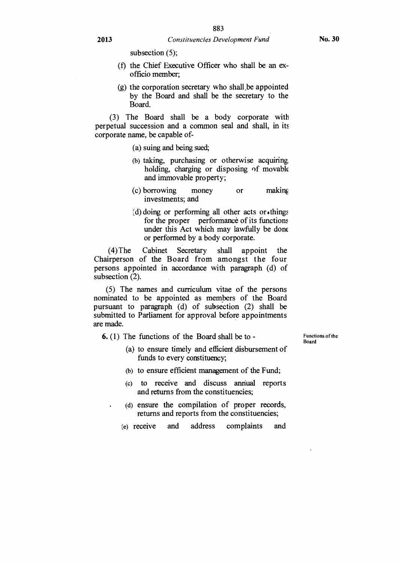subsection (5);

- (f) the Chief Executive Officer who shall be an exofficio member;
- (g) the corporation secretary who shall be appointed by the Board and shall be the secretary to the Board.

(3) The Board shall be a body corporate with perpetual succession and a common seal and shall, in its corporate name, be capable of-

- (a) suing and being sued;
- (b) taking, purchasing or otherwise acquiring. holding, charging or disposing of movable and immovable property;
- (c) borrowing money or making investments; and
- $(d)$  doing or performing all other acts or  $\cdot$ things for the proper performance of its functions under this Act which may lawfully be done or performed by a body corporate.

(4) The Cabinet Secretary shall appoint the Chairperson of the Board from amongst the four persons appointed in accordance with paragraph (d) of subsection (2).

(5) The names and curriculum vitae of the persons nominated to be appointed as members of the Board pursuant to paragraph (d) of subsection (2) shall be submitted to Parliament for approval before appointments are made.

**6.** (1) The functions of the Board shall be to -

Functions of the Board

- (a) to ensure timely and efficient disbursement of funds to every constituency;
- (b) to ensure efficient management of the Fund;
- (c) to receive and discuss annual reports and returns from the constituencies;
- (d) ensure the compilation of proper records, returns and reports from the constituencies;
- (e) receive and address complaints and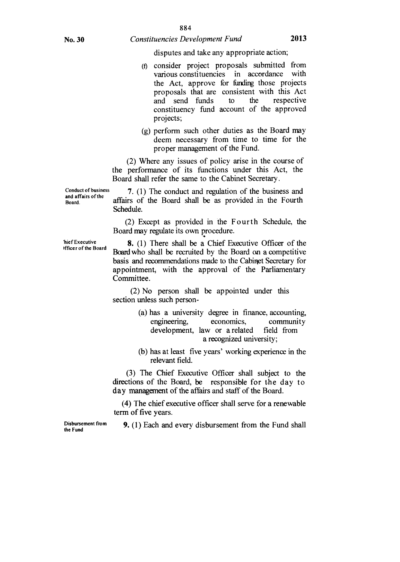disputes and take any appropriate action;

- (0 consider project proposals submitted from various constituencies in accordance with the Act, approve for funding those projects proposals that are consistent with this Act and send funds to the respective constituency fund account of the approved projects;
- (g) perform such other duties as the Board may deem necessary from time to time for the proper management of the Fund.

(2) Where any issues of policy arise in the course of the performance of its functions under this Act, the Board shall refer the same to the Cabinet Secretary.

Conduct of business and affairs of the Board.

**7.** (1) The conduct and regulation of the business and affairs of the Board shall be as provided .in the Fourth Schedule.

 $(2)$  Except as provided in the F our the Schedule, the Board may regulate its own procedure.

bief Executive )fficer of the Board

**8.** (1) There shall be a Chief Executive Officer of the Board who shall be recruited by the Board on a competitive basis and recommendations made to the Cabinet Secretary for appointment, with the approval of the Parliamentary Committee.

(2) No person shall be appointed under this section unless such person-

- (a) has a university degree in finance, accounting, engineering, economics, community development, law or a related field from a recognized university;
- (b) has at least five years' working experience in the relevant field.

(3) The Chief Executive Officer shall subject to the directions of the Board, be responsible for the day to day management of the affairs and staff of the Board.

(4) The chief executive officer shall serve for a renewable term of five years.

**9.** (1) Each and every disbursement from the Fund shall

Disbursement from the Fund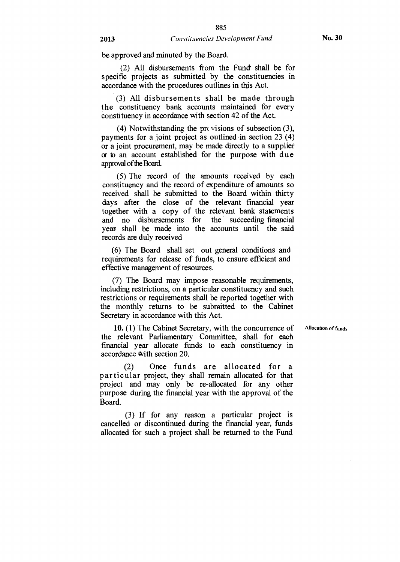be approved and minuted by the Board.

(2) All disbursements from the Fund shall be for specific projects as submitted by the constituencies in accordance with the procedures outlines in this Act.

(3) All disbursements shall be made through the constituency bank accounts maintained for every constituency in accordance with section 42 of the Act.

(4) Notwithstanding the provisions of subsection  $(3)$ , payments for a joint project as outlined in section 23 (4) or a joint procurement, may be made directly to a supplier or to an account established for the purpose with due approval of the Board.

(5) The record of the amounts received by each constituency and the record of expenditure of amounts so received shall be submitted to the Board within thirty days after the close of the relevant financial year together with a copy of the relevant bank statements and no disbursements for the succeeding financial year shall be made into the accounts until the said records are duly received

(6) The Board shall set out general conditions and requirements for release of funds, to ensure efficient and effective management of resources.

(7) The Board may impose reasonable requirements, including restrictions, on a particular constituency and such restrictions or requirements shall be reported together with the monthly returns to be submitted to the Cabinet Secretary in accordance with this Act.

Allocation of funds

10. (1) The Cabinet Secretary, with the concurrence of the relevant Parliamentary Committee, shall for each financial year allocate funds to each constituency in accordance With section 20.

(2) Once funds are allocated for a particular project, they shall remain allocated for that project and may only be re-allocated for any other purpose during the financial year with the approval of the Board.

(3) If for any reason a particular project is cancelled or discontinued during the financial year, funds allocated for such a project shall be returned to the Fund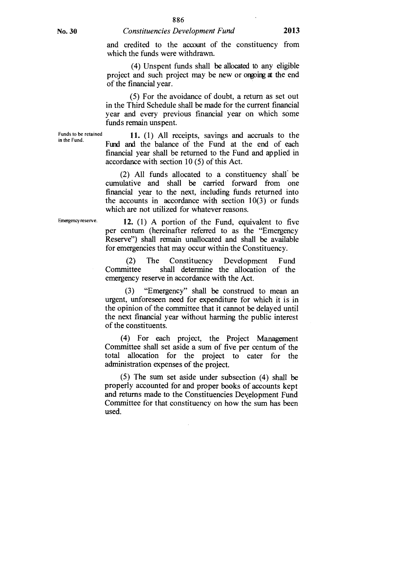886

and credited to the account of the constituency from which the funds were withdrawn.

(4) Unspent funds shall be allocated to any eligible project and such project may be new or ongoing at the end of the financial year.

(5) For the avoidance of doubt, a return as set out in the Third Schedule shall be made for the current financial year and every previous financial year on which some funds remain unspent.

Funds to be retained 11. (1) All receipts, savings and accruals to the Fund and the balance of the Fund at the end of each financial year shall be returned to the Fund and applied in accordance with section 10 (5) of this Act.

> (2) All funds allocated to a constituency shall be cumulative and shall be carried forward from one financial year to the next, including funds returned into the accounts in accordance with section  $10(3)$  or funds which are not utilized for whatever reasons.

Emergency reserve.

**12.** (1) A portion of the Fund, equivalent to five per centum (hereinafter referred to as the "Emergency Reserve") shall remain unallocated and shall be available for emergencies that may occur within the Constituency.

(2) The Constituency Development Fund Committee shall determine the allocation of the emergency reserve in accordance with the Act.

(3) "Emergency" shall be construed to mean an urgent, unforeseen need for expenditure for which it is in the opinion of the committee that it cannot be delayed until the next financial year without harming the public interest of the constituents.

(4) For each project, the Project Management Committee shall set aside a sum of five per centum of the total allocation for the project to cater for the administration expenses of the project.

(5) The sum set aside under subsection (4) shall be properly accounted for and proper books of accounts kept and returns made to the Constituencies Development Fund Committee for that constituency on how the sum has been used.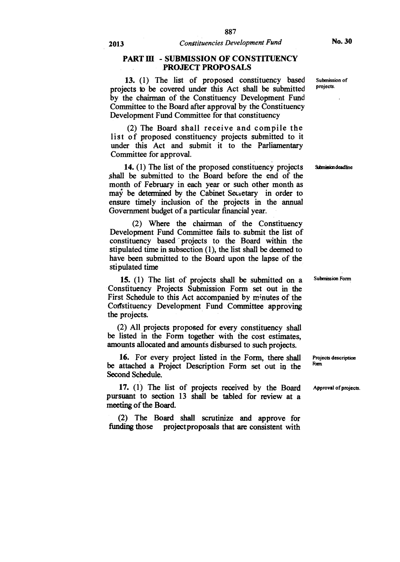#### **PART III - SUBMISSION OF CONSTITUENCY PROJECT PROPOSALS**

**13. (1) The list of proposed constituency based projects to be covered under this Act shall be submitted by the chairman of the Constituency Development Fund Committee to the Board after approval by the Constituency Development Fund Committee for that constituency** 

**(2) The Board shall receive and compile the list of proposed constituency projects submitted to it under this Act and submit it to the Parliamentary Committee for approval.** 

**14. (1) The list of the proposed constituency projects shall be submitted to the Board before the end of the month of February in each year or such other month as may be determined by the Cabinet Secretary in order to ensure timely inclusion of the projects in the annual Government budget of a particular financial year.** 

**(2) Where the chairman of the Constituency Development Fund Committee fails to submit the list of constituency based projects to the Board within the stipulated time in subsection (1), the list shall be deemed to have been submitted to the Board upon the lapse of the stipulated time** 

**15. (1) The list of projects shall be submitted on a Constituency Projects Submission Form set out in the**  First Schedule to this Act accompanied by minutes of the **Constituency Development Fund Committee approving the projects.** 

**(2) All**, **projects proposed for every constituency shall be listed in the Form together with the cost estimates, amounts allocated and amounts disbursed to such projects.** 

**16. For every project listed in the Form, there shall be attached a Project Description Form set out** in **the Second Schedule.** 

**17. (1) The list of projects received by the Board pursuant to section 13 shall be tabled for review at a meeting of the Board.** 

**(2) The Board shall scrutinize and approve for funding those projectproposals that are consistent with**  **Submission of projects.** 

**Submission deadline** 

**Submission Form** 

**Projects description Ram** 

**Approval of projects.**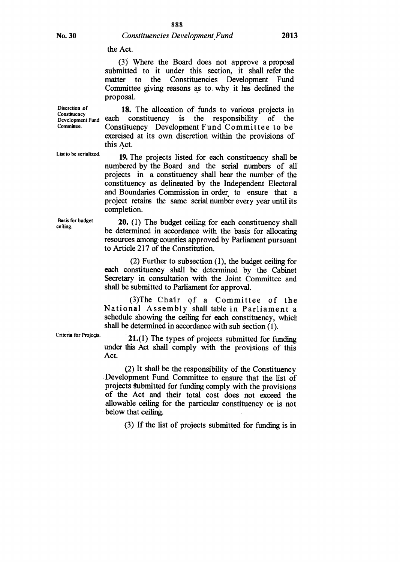(3) Where the Board does not approve a proposal submitted to it under this section, it shall refer the matter to the Constituencies Development Fund Committee giving reasons as to, why it has declined the proposal.

Discretion of **18.** The allocation of funds to various projects in Consuluency<br>Development Fund each constituency is the responsibility of the<br>Committee to be Constituency Development Fund Committee to be exercised at its own discretion within the provisions of this Act.

> 19. The projects listed for each constituency shall be numbered by the Board and the serial numbers of all projects in a constituency shall bear the number of the constituency as delineated by the Independent Electoral and Boundaries Commission in order to ensure that a project retains the same serial number every year until its completion.

> 20. (1) The budget ceiling, for each constituency shall be determined in accordance with the basis for allocating resources among counties approved by Parliament pursuant to Article 217 of the Constitution.

> (2) Further to subsection (1), the budget ceiling for each constituency shall be determined by the Cabinet Secretary in consultation with the Joint Committee and shall be submitted to Parliament for approval.

> (3)The Chair of a Committee of the National Assembly shall table in Parliament a schedule showing the ceiling for each constituency, which shall be determined in accordance with sub section (1).

Criteria for Projects. **21.(1)** The types of projects submitted for funding under this Act shall comply with the provisions of this Act.

> (2) It shall be the responsibility of the Constituency ,Development Fund Committee to ensure that the list of projects submitted for funding comply with the provisions of the Act and their total cost does not exceed the allowable ceiling for the particular constituency or is not below that ceiling.

> > (3) If the list of projects submitted for funding is in

Constituency<br>Development Fund

List to be serialized.

Basis for budget ceiling.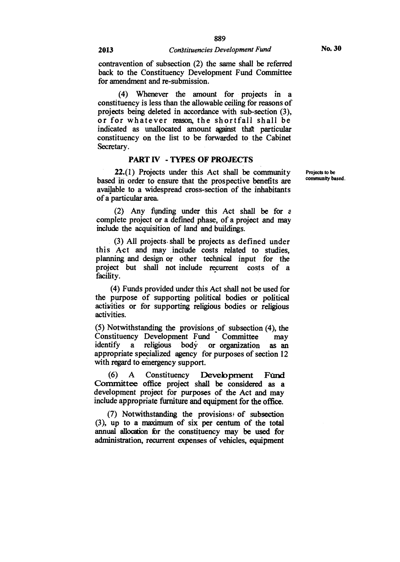**No. 30** 

**contravention of subsection (2) the same shall be referred back to the Constituency Development Fund Committee for amendment and re-submission.** 

**(4) Whenever the amount for projects in a constituency is less than the allowable ceiling for reasons of projects being deleted in accordance with sub-section (3), or for whatever reason, the shortfall shall be indicated as unallocated amount against that particular constituency on the list to be forwarded to the Cabinet Secretary.** 

#### **PART IV - TYPES OF PROJECTS**

**22.(1) Projects under this Act shall be community based in order to ensure that the prospective benefits are available to a widespread cross-section of the inhabitants of a particular area.** 

**(2) Any funding under this Act shall be for** <sup>a</sup> **complete project or a defined phase, of a project and may include the acquisition of land and buildings.** 

**(3) All projects shall be projects as defined under this Act and may include costs related to studies, planning and design or other technical input for the project but shall not include recurrent costs of a facility.** 

**(4) Funds provided under this Act shall not be used for the purpose of supporting political bodies or political activities or for supporting religious bodies or religious activities.** 

(5) Notwithstanding the provisions of subsection (4), the Constituency Development Fund Committee may **Constituency Development Fund Committee may identify a religious body or organization as an appropriate specialized agency for purposes of section 12 with regard to emergency support.** 

**(6) A Constituency Development Fund Committee office project shall be considered as a development project for purposes of the Act and may include appropriate furniture and equipment for the office.** 

(7) Notwithstanding the provisions<sup>*i*</sup> of subsection **(3), up to a maximum of six per centum of the total annual allocation br the constituency may be used for administration, recurrent expenses of vehicles, equipment**  **Projects to be community based.**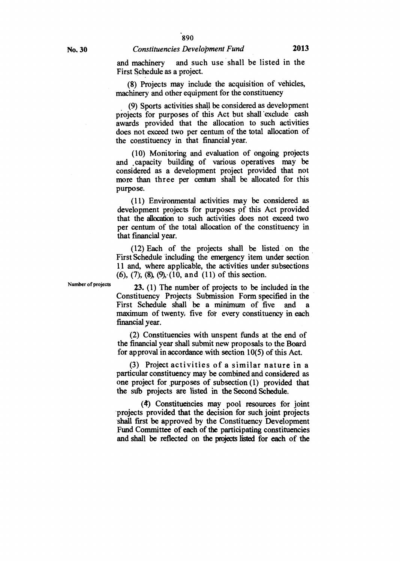### and machinery and such use shall be listed in the First Schedule as a project.

(8) Projects may include the acquisition of vehicles, machinery and other equipment for the constituency

(9) Sports activities shall be considered as development projects for purposes of this Act but shall 'exclude cash awards provided that the allocation to such activities does not exceed two per centum of the total allocation of the constituency in that financial year.

(10) Monitoring and evaluation of ongoing projects and capacity building of various operatives may be considered as a development project provided that not more than three per centum shall be allocated for this purpose.

(11) Environmental activities may be considered as development projects for purposes of this Act provided that the allocation to such activities does not exceed two per centum of the total allocation of the constituency in that financial year.

(12) Each of the projects shall be listed on the First Schedule including the emergency item under section 11 and, where applicable, the activities under subsections (6), (7), (8), (9), (10, and (11) of this section.

Number of projects 23. (1) The number of projects to be included in the Constituency Projects Submission Form specified in the First Schedule shall be a minimum of five and a maximum of twenty; five fot every constituency in each financial year.

> (2) Constituencies with unspent funds at the end of the financial year shall submit new proposals to the Board for approval in accordance with section 10(5) of this Act.

(3) Project activities of a similar nature in a particular constituency may be combined and considered as one project for purposes of subsection (1) provided that the sifb projects are listed in the Second Schedule.

(4) Constituencies may pool resources for joint projects provided that the decision for such joint projects shall first be approved by the Constituency Development Fund Committee of each **of** the participating constituencies and shall be reflected on the projects listed for each of the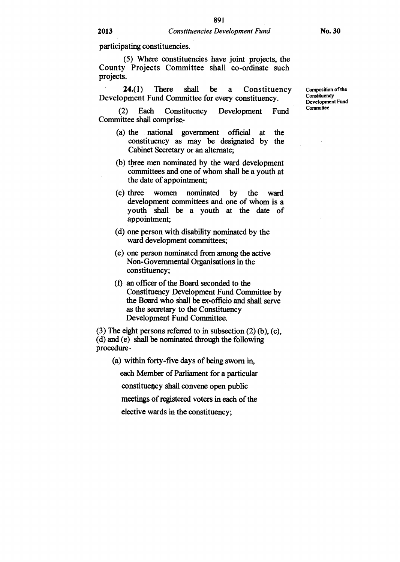**participating constituencies.** 

*(5)* **Where constituencies have joint projects, the County Projects Committee shall co-ordinate such projects.** 

**24.(1) There shall be a Constituency Development Fund Committee for every constituency.** 

**(2) Each Constituency Development Fund Committee shall comprise-** 

- **(a) the national government official at the constituency as may be designated by the Cabinet Secretary or an alternate;**
- **(b) three men nominated by the ward development committees and one of whom shall be a youth at the date of appointment;**
- **(c) three women nominated by the ward development committees and one of whom is a youth shall be a youth at the date of appointment;**
- **(d) one person with disability nominated by the ward development committees;**
- **(e) one person nominated from among the active Non-Governmental Organisations in the constituency;**
- **(1) an officer of the Board seconded to the Constituency Development Fund Committee by the Board who shall be ex-officio and shall serve as the secretary to the Constituency Development Fund Committee.**

**(3) The eight persons referred to in subsection (2) (b), (c), (d) and (e) shall be nominated through the following procedure-** 

**(a) within forty-five days of being sworn in,** 

**each Member of Parliament for a particular** 

**constituency shall convene open public** 

**meetings of registered voters in each of the** 

**elective wards in the constituency;** 

**Composition of the Constituency Development Fund Committee**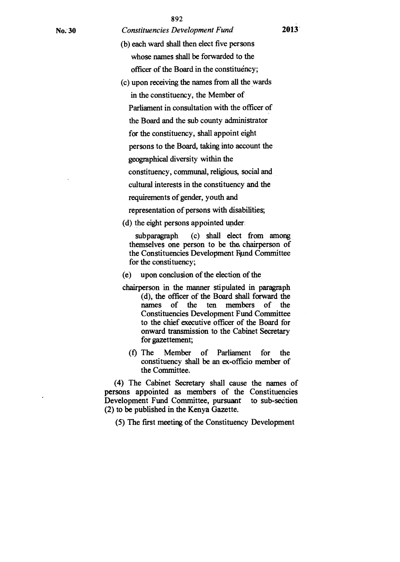- (b) each ward shall then elect five persons whose names shall be forwarded to the officer of the Board in the constituency;
- (c) upon receiving the names from all the wards in the constituency, the Member of Parliament in consultation with the officer of the Board and the sub county administrator for the constituency, shall appoint eight persons to the Board, taking into account the geographical diversity within the constituency, communal, religious, social and cultural interests in the constituency and the requirements of gender, youth and
	- representation of persons with disabilities;
- (d) the eight persons appointed under:

subparagraph (c) shall elect from among themselves one person to be the, chairperson of the Constituencies Development Rund Committee for the constituency;

(e) upon conclusion of the election of the

- chairperson in the manner stipulated in paragraph (d), the officer of the Board shall forward the names of the ten members of the Constituencies Development Fund Committee to the chief executive officer of the Board for onward transmission to the Cabinet Secretary for gazettement;
	- (f) The Member of Parliament for the constituency shall be an ex-officio member of the Committee.

(4) The Cabinet Secretary shall cause the names of persons appointed as members of the Constituencies Development Fund Committee, pursuant to sub-section (2) to be published in the Kenya Gazette.

(5) The first meeting of the Constituency Development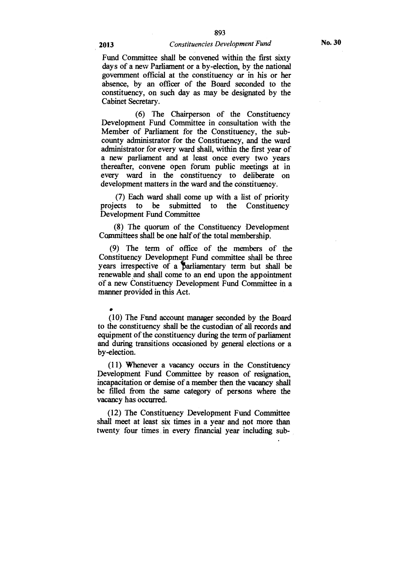### 893 **2013** *Constituencies Development Fund*

Fund Committee shall be convened within the first sixty days of a new Parliament or a by-election, by the national government official at the constituency or in his or her absence, by an officer of the Board seconded to the constituency, on such day as may be designated by the Cabinet Secretary.

(6) The Chairperson of the Constituency Development Fund Committee in consultation with the Member of Parliament for the Constituency, the subcounty administrator for the Constituency, and the ward administrator for every ward shall, within the first year of a new parliament and at least once every two years thereafter, convene open forum public meetings at in every ward in the constituency to deliberate on development matters in the ward and the constituency.

(7) Each ward shall come up with a list of priority projects to be submitted to the Constituency Development Fund Committee

(8) The quorum of the Constituency Development Committees shall be one half of the total membership.

(9) The term of office of the members of the Constituency Development Fund committee shall be three years irrespective of a parliamentary term but shall be renewable and shall come to an end upon the appointment of a new Constituency Development Fund Committee in a manner provided in this Act.

# •

(10) The Fund account manager seconded by the Board to the constituency shall be the custodian of all records and equipment of the constituency during the term of parliament and during transitions occasioned by general elections or a by-election.

(11) Whenever a vacancy occurs in the Constituency Development Fund Committee by reason of resignation, incapacitation or demise of a member then the vacancy shall be filled from the same category of persons where the vacancy has occurred.

(12) The Constituency Development Fund Committee shall meet at least six times in a year and not more than twenty four times in every financial year including sub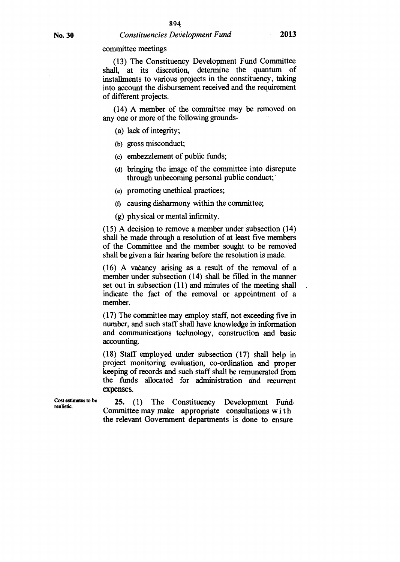committee meetings

(13) The Constituency Development Fund Committee shall, at its discretion, determine the quantum of installments to various projects in the constituency, taking into account the disbursement received and the requirement of different projects.

(14) A member of the committee may be removed on any one or more of the following grounds-

(a) lack of integrity;

- (b) gross misconduct;
- (c) embezzlement of public funds;
- (d) bringing the image of the committee into disrepute through unbecoming personal public conduct;
- (e) promoting unethical practices;

(f) causing disharmony within the committee;

(g) physical or mental infirmity.

(15) A decision to remove a member under subsection (14) shall be made through a resolution of at least five members of the Committee and the member sought to be removed shall be given a fair hearing before the resolution is made.

(16) A vacancy arising as a result of the removal of a member under subsection (14) shall be filled in the manner set out in subsection (11) and minutes of the meeting shall indicate the fact of the removal or appointment of a member.

(17) The committee may employ staff, not exceeding five in number, and such staff shall have knowledge in information and communications technology, construction and basic accounting.

(18) Staff employed under subsection (17) shall help in project monitoring evaluation, co-ordination and proper keeping of records and such staff shall be remunerated from the funds allocated for administration and recurrent expenses.

**Cost estimates to be realistic.** 

**25.** (1) The Constituency Development Fund, Committee may make appropriate consultations with the relevant Government departments is done to ensure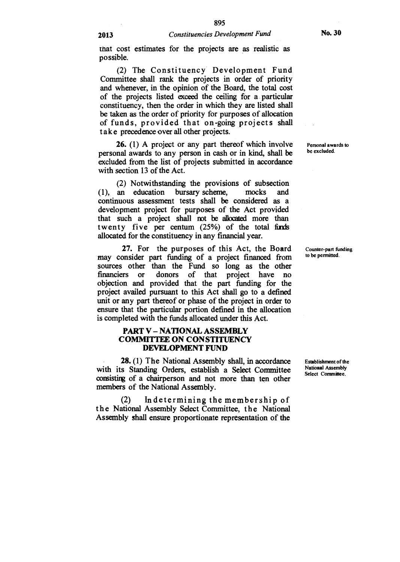that cost estimates for the projects are as realistic as possible.

(2) The Constituency Development Fund Committee shall rank the projects in order of priority and whenever, in the opinion of the Board, the total cost of the projects listed exceed the ceiling for a particular constituency, then the order in which they are listed shall be taken as the order of priority for purposes of allocation of funds, provided that on-going projects shall take precedence over all other projects.

**26.** (1) A project or any part thereof which involve Personal awards to neglect the curve of a personal avards to personal awards to any person in cash or in kind, shall be excluded from the list of projects submitted in accordance with section 13 of the Act.

(2) Notwithstanding the provisions of subsection (1), an education bursary scheme, mocks and continuous assessment tests shall be considered as a development project for purposes of the Act provided that such a project shall not be allocated more than twenty five per centum (25%) of the total finds allocated for the constituency in any financial year.

27. For the purposes of this Act, the Board Counter-part funding<br>onsider part funding of a project financed from to be permitted. may consider part funding of a project financed from sources other than the Fund so long as the other<br>financiers or donors of that project have no of that project have no objection and provided that the part funding for the project availed pursuant to this Act shall go to a defined unit or any part thereof or phase of the project in order to ensure that the particular portion defined in the allocation is completed with the funds allocated under this Act.

#### **PART V — NATIONAL ASSEMBLY COMMITTEE ON CONSTITUENCY DEVELOPMENT FUND**

28. (1) The National Assembly shall, in accordance Establishment of the consisting of a chairperson and not more than ten other with its Standing Orders, establish a Select Committee National Assembly members of the National Assembly.

(2) In determining the membership of the National Assembly Select Committee, the National Assembly shall ensure proportionate representation of the

National Assembly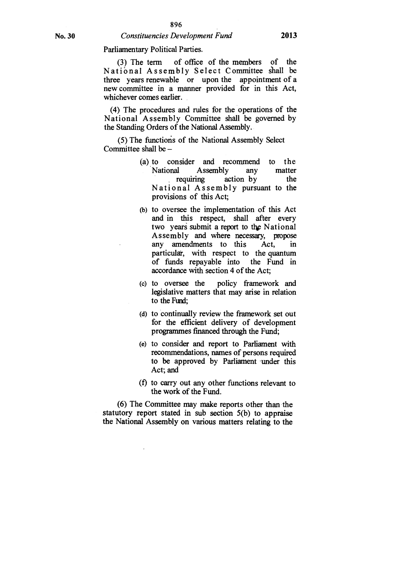Parliamentary Political Parties.

(3) The term of office of the members of the National Assembly Select Committee shall be three years renewable or upon the appointment of a new committee in a manner provided for in this Act, whichever comes earlier.

(4) The procedures and rules for the operations of the National Assembly Committee shall be governed by the Standing Orders of the National Assembly.

(5) The functions of the National Assembly Select Committee shall be —

- (a) to consider and recommend to the National Assembly any matter<br>requiring action by the action by National Assembly pursuant to the provisions of this Act;
- (b) to oversee the implementation of this Act and in this respect, shall after every two years submit a report to the National Assembly and where necessary, propose<br>any amendments to this Act, in amendments to this Act, in particulat, with respect to the quantum of funds repayable into the Fund in accordance with section 4 of the Act;
- (c) to oversee the policy framework and legislative matters that may arise in relation to the Fund;
- (d) to continually review the framework set out for the efficient delivery of development programmes financed through the Fund;
- (e) to consider and report to Parliament with recommendations, names of persons required to be approved by Parliament under this Act; and
- (f) to carry out any other functions relevant to the work of the Fund.

(6) The Committee may make reports other than the statutory report stated in sub section 5(b) to appraise the National Assembly on various matters relating to the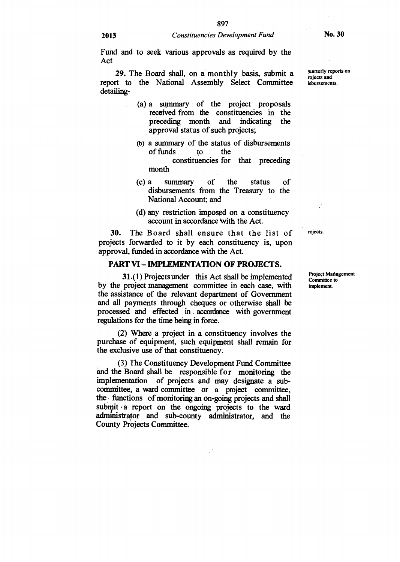**Fund and to seek various approvals as required by the Act** 

**29.** The Board shall, on a monthly basis, submit a *pluarterly reports on* report to the National Assembly Select Committee **detailing-** 

- **(a) a summary of the project proposals received from the constituencies in the preceding month and indicating the approval status of such projects;**
- **(b) a summary of the status of disbursements of funds to the constituencies for that preceding month**
- **(c) a summary of the status of disbursements from the Treasury to the National Account; and**
- **(d) any restriction imposed on a constituency account in accordance 'with the Act.**

**30. The Board shall ensure that the list of projects forwarded to it by each constituency is, upon approval, funded in accordance with the Act.** 

#### **PART VI — IMPLEMENTATION OF PROJECTS.**

**31.(1) Projects under this Act shall be implemented by the project management committee in each case, with the assistance of the relevant department of Government and all payments through cheques or otherwise shall be processed and effected in . accordance with government regulations for the time being in force.** 

**(2) Where a project in a constituency involves the purchase of equipment, such equipment shall remain for the exclusive use of that constituency.** 

**(3) The Constituency Development Fund Committee and the Board shall be responsible for monitoring the implementation of projects and may designate a subcommittee, a ward committee or a project committee, the functions of monitoring an on-going projects and shall**  submit a report on the ongoing projects to the ward **administrator and sub-county administrator, and the County Projects Committee.** 

**rojects and** 

**rojects.** 

**Project Management Committee to implement.**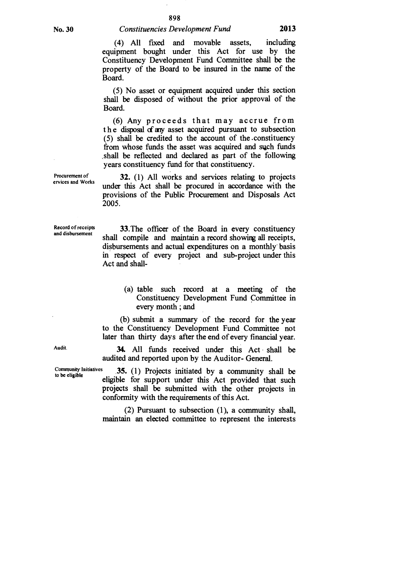(4) All fixed and movable assets, including equipment bought under this Act for use by the Constituency Development Fund Committee shall be the property of the Board to be insured in the name of the Board.

(5) No asset or equipment acquired under this section shall be disposed of without the prior approval of the Board.

(6) Any proceeds that may accrue from t h e disposal of any asset acquired pursuant to subsection (5) shall be credited to the account of the .constituency from whose funds the asset was acquired and such funds ,shall be reflected and declared as part of the following years constituency fund for that constituency.

32. (1) All works and services relating to projects under this Act shall be procured in accordance with the provisions of the Public Procurement and Disposals Act 2005.

Record of receipts and disbursement

Procurement of ervices and Works

> 33.The officer of the Board in every constituency shall compile and maintain a record showing all receipts, disbursements and actual expenditures on a monthly basis in respect of every project and sub-project under this Act and shall-

> > (a) table such record at a meeting of the Constituency Development Fund Committee in every month ; and

(b) submit a summary of the record for the year to the Constituency Development Fund Committee not later than thirty days after the end of every financial year.

34. All funds received under this Act shall be audited and reported upon by the Auditor- General.

Community Initiatives  $\begin{array}{c} 35. \ (1) \ \text{Projects initiated by a community shall be} \\ \text{display} \end{array}$ projects shall be submitted with the other projects in conformity with the requirements of this Act.

> (2) Pursuant to subsection (1), a community shall, maintain an elected committee to represent the interests

Audit.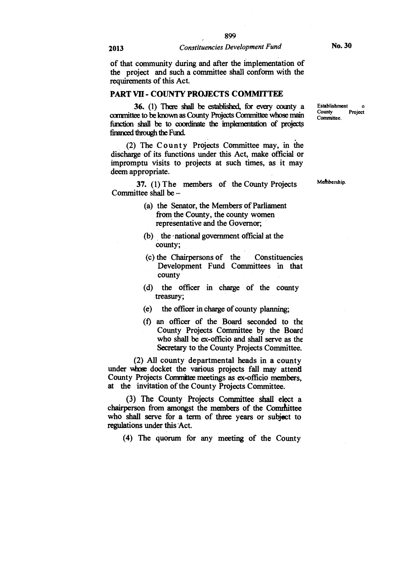**of that community during and after the implementation of the project and such a committee shall conform with the requirements of this Act.** 

#### **PART VII - COUNTY PROJECTS COMMITTEE**

**36.** (1) There shall be established, for every county a **committee to be known as County Projects Committee whose main function shall be to coordinate the implementation of projects financed through the Fund.** 

**(2) The County Projects Committee may, in the discharge of its functions under this Act, make official or impromptu visits to projects at such times, as it may deem appropriate.** 

**37. (1) The members of the County Projects Committee shall be —** 

- **(a) the Senator, the Members of Parliament from the County, the county women representative and the Governor;**
- **(b) the 'national government official at the county;**
- **(c) the Chairpersons of the Constituencies Development Fund Committees in that county**
- **(d) the officer in charge of the county treasury;**
- **(e) the officer in charge of county planning;**
- **(f) an officer of the Board seconded to the County Projects Committee by the Board who shall be ex-officio and shall serve as the Secretary to the County Projects Committee.**

**(2) All county departmental heads in a county**  under whose docket the various projects fall may attend **County Projects Committee meetings as ex-officio members, at the invitation of the County Projects Committee.** 

**(3) The County Projects Committee shall elect a**  chairperson from amongst the members of the Committee **who shall serve for a term of three years or subject to**  regulations under this Act.

**(4) The quorum for any meeting of the County** 

**Establishment**   $\Delta$ **County Project Committee.** 

**Mefithership.**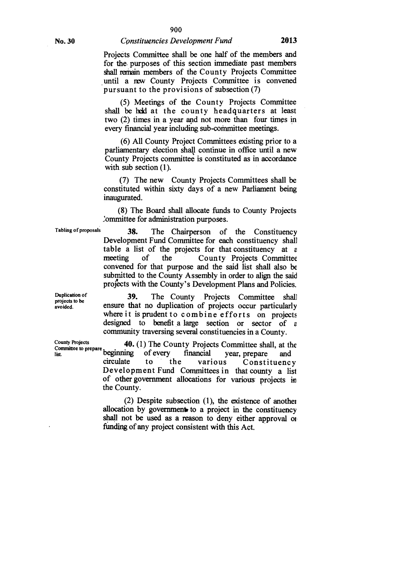**Projects Committee shall be one half of the members and for the. purposes of this section immediate past members shall remain members of the County Projects Committee until a rEw County Projects Committee is convened pursuant to the provisions of subsection (7)** 

**(5) Meetings of the County Projects Committee shall be held at the county headquarters at least two (2) times in a year and not more than four times in every financial year including sub-committee meetings.** 

**(6) All County Project Committees existing prior to a parliamentary election shall continue in office until a new County Projects committee is constituted as in accordance with sub section (1).** 

**(7) The new County Projects Committees shall be constituted within sixty days of a new Parliament being inaugurated.** 

**(8) The Board shall allocate funds to County Projects 2ommittee for administration purposes.** 

**Tabling of proposals** 

**38. The Chairperson of the Constituency Development Fund Committee for each constituency shall table a list of the projects for that constituency at** *e*  **meeting of the County Projects Committee convened for that purpose and the said list shall also be submitted to the County Assembly in order to align the said projects with the County's Development Plans and Policies.** 

**39. The County Projects Committee shall ensure that no duplication of projects occur particularly**  where it is prudent to combine efforts on projects **designed to benefit a large section or sector of** *<sup>s</sup>* **community traversing several constituencies in a County.** 

**40.** (1) The County Projects Committee shall, at the Counties to prepare beginning of every financial year, prepare and **List County Projects**<br> **Committee to prepare beginning** of every financial year of every strip of every of the various **Constituency Development Fund Committees in that county a list of other government allocations for various projects in the County.** 

> **(2) Despite subsection (1), the existence of anothei**  allocation by government to a project in the constituency **shall not be used as a reason to deny either approval or fimding of any project consistent with this Act.**

**Duplication of projects to be avoided.**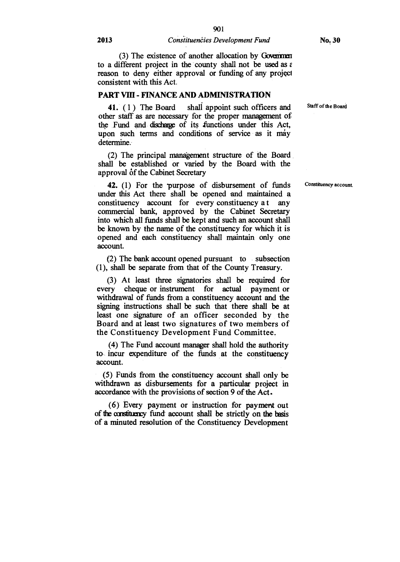(3) The existence of another allocation by Governmen to a different project in the county shall not be used as  $\varepsilon$ . reason to deny either approval or funding of any project consistent with this Act.

#### **PART VIII - FINANCE AND ADMINISTRATION**

**41.** (1) The Board shall appoint such officers and other staff as are necessary for the proper management of the Fund and discharge of its functions under this Act, upon such terms and conditions of service as it may determine.

(2) The principal management structure of the Board shall be established or varied by the Board with the approval of the Cabinet Secretary

42. (1) For the purpose of disbursement of funds under this Act there shall be opened and maintained a constituency account for every constituency a t any commercial bank, approved by the Cabinet Secretary into which all funds shall be kept and such an account shall be known by the name of the constituency for which it is opened and each constituency shall maintain only one account.

(2) The bank account opened pursuant to subsection (1), shall be separate from that of the County Treasury.

(3) At least three signatories shall be **required** for every cheque or instrument for actual payment or withdrawal of funds from a constituency account and the signing instructions shall be such that there shall be at least one signature of an officer seconded by the Board and at least two signatures of two members of the Constituency Development Fund Committee.

(4) The Fund account manager shall hold the authority to, incur expenditure of the funds at the constituency account.

(5) Funds from the constituency account shall only be withdrawn as disbursements for a particular project in accordance with the provisions of section 9 of the Act.

(6) Every payment or instruction for payment out of the ccnstituency fund account shall be strictly on the basis of a minuted resolution of the Constituency Development

Staff of the Board

Constituency account.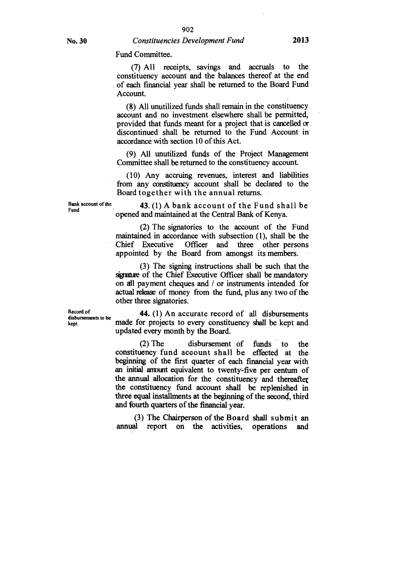#### Fund Committee.

(7) All receipts, savings and accruals to the constituency account and the balances thereof at the end of each financial year shall be returned to the Board Fund Account.

(8) All unutilized funds shall remain in the constituency account and no investment elsewhere shall be permitted, provided that funds meant for a project that is cancelled or discontinued shall be returned to the Fund Account in accordance with section 10 of this Act.

(9) All unutilized funds of the Project Management Committee shall be returned to the constituency account

(10) Any accruing revenues, interest and liabilities from any constituency account shall be declared to the Board together with the annual returns.

**Bank account of the 43.** (1) A bank account of the Fund shall be **Fund** opened and maintained at the Central Bank of Kenya.

(2) The signatories to the account of the Fund maintained in accordance with subsection (1), shall be the Chief Executive Officer and three other persons appointed by the Board from amongst its members.

(3) The signing instructions shall be such that the signature of the Chief Executive Officer shall be mandatory on **all** payment cheques and / or instruments intended for actual release of money from the fund, plus any two of the other three signatories.

**k e p t d is b u**

**Record of 44.** (1) An accurate record of all disbursements made for projects to every constituency shall be kept and updated every month by the Board.

> (2) The disbursement of funds to the constituency fund account shall be effected at the beginning of the first quarter of each financial year with an initial arrount equivalent to twenty-five per centum of the annual allocation for the constituency and thereaftet the constituency fund account shall be replenished in three equal installments at the beginning of the second, third and fourth quarters of the financial year.

> (3) The Chairperson of the Board shall submit an annual report on the activities, operations and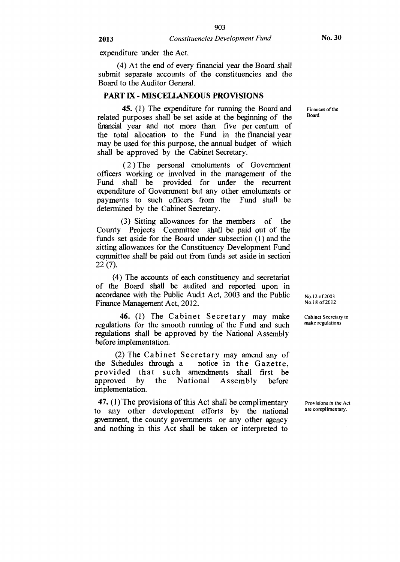expenditure under the Act.

(4) At the end of every financial year the Board shall submit separate accounts of the constituencies and the Board to the Auditor General.

#### **PART IX - MISCELLANEOUS PROVISIONS**

**45.** (1) The expenditure for running the Board and related purposes shall be set aside at the beginning of the financial year and not more than five per centum of the total allocation to the Fund in the financial year may be used for this purpose, the annual budget of which shall be approved by the Cabinet Secretary.

( 2 ) The personal emoluments of Government officers working or involved in the management of the Fund shall be provided for under the recurrent expenditure of Government but any other emoluments or payments to such officers from the Fund shall be determined by the Cabinet Secretary.

(3) Sitting allowances for the members of the County Projects Committee shall be paid out of the funds set aside for the Board under subsection (1) and the sitting allowances for the Constituency Development Fund committee shall be paid out from funds set aside in section 22 (7).

(4) The accounts of each constituency and secretariat of the Board shall be audited and reported upon in accordance with the Public Audit Act, 2003 and the Public Finance Management Act, 2012.

**46.** (1) The Cabinet Secretary may make Cabinet Secretary to one for the smooth running of the Eurol and such make regulations regulations for the smooth running of the Fund and such regulations shall be approved by the National Assembly before implementation.

(2) The Cabinet Secretary may amend any of<br>the Schedules through a notice in the Gazette. notice in the Gazette, provided that such amendments shall first be<br>approved by the National Assembly before Assembly implementation.

47. (1) The provisions of this Act shall be complimentary  $\frac{1}{2}$  Provisions in the Act  $\alpha$  are complimentary. to any other development efforts by the national government, the county governments or any other agency and nothing in this Act shall be taken or interpreted to

Finances of the Board.

No.12 of 2003 No.18 of 2012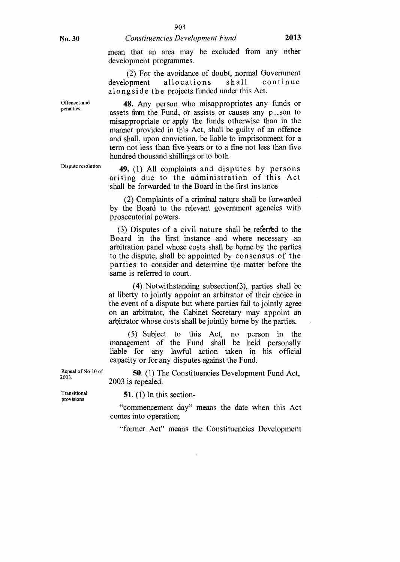Offences and penalties.

### No. 30 *Constituencies Development Fund* **2013**

mean that an area may be excluded from any other development programmes.

(2) For the avoidance of doubt, normal Government development allocations shall continue alongside the projects funded under this Act.

**48.** Any person who misappropriates any funds or assets from the Fund, or assists or causes any  $p\text{-}s$  to misappropriate or apply the funds otherwise than in the manner provided in this Act, shall be guilty of an offence and shall, upon conviction, be liable to imprisonment for a term not less than five years or to a fine not less than five hundred thousand shillings or to both

**49.** (1) All complaints and disputes by persons arising due to the administration of this Act shall be forwarded to the Board in the first instance

(2) Complaints of a criminal nature shall be forwarded by the Board to the relevant government agencies with prosecutorial powers.

(3) Disputes of a civil nature shall be referitd to the Board in the first instance and where necessary an arbitration panel whose costs shall be borne by the parties to the dispute, shall be appointed by consensus of the parties to consider and determine the matter before the same is referred to court.

(4) Notwithstanding subsection(3), parties shall be at liberty to jointly appoint an arbitrator of their choice in the event of a dispute but where parties fail to jointly agree on an arbitrator, the Cabinet Secretary may appoint an arbitrator whose costs shall be jointly borne by the parties.

(5) Subject to this Act, no person in the management of the Fund shall be held personally liable for any lawful action taken in his official capacity or for any disputes against the Fund.

**50.** (1) The Constituencies Development Fund Act, 2003 is repealed.

Transitional provisions

2003.

Repeal of No 10 of

**51.** (1) In this section-

"commencement day" means the date when this Act comes into operation;

"former Act" means the Constituencies Development

Dispute resolution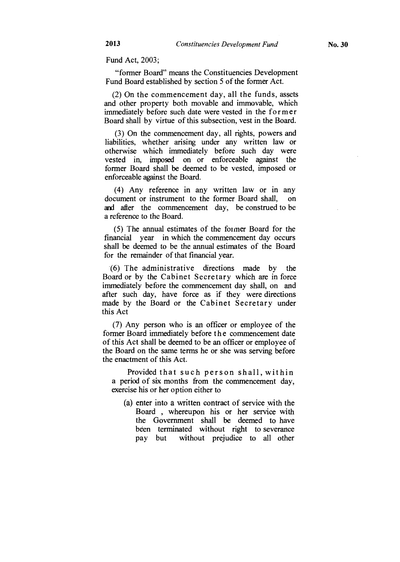Fund Act, 2003;

"former Board" means the Constituencies Development Fund Board established by section 5 of the former Act.

(2) On the commencement day, all the funds, assets and other property both movable and immovable, which immediately before such date were vested in the former Board shall by virtue of this subsection, vest in the Board.

(3) On the commencement day, all rights, powers and liabilities, whether arising under any written law or otherwise which immediately before such day were vested in, imposed on or enforceable against the former Board shall be deemed to be vested, imposed or enforceable against the Board.

(4) Any reference in any written law or in any document or instrument to the former Board shall, on and after the commencement day, be construed to be a reference to the Board.

(5) The annual estimates of the former Board for the financial year in which the commencement day occurs shall be deemed to be the annual estimates of the Board for the remainder of that financial year.

'(6) The administrative directions made by the Board or by the Cabinet Secretary which are in force immediately before the commencement day shall, on and after such day, have force as if they were directions made by the Board or the Cabinet Secretary under this Act

(7) Any person who is an officer or employee of the former Board immediately before the commencement date of this Act shall be deemed to be an officer or employee of the Board on the same terms he or she was serving before the enactment of this Act.

Provided that such person shall, within a period of six months from the commencement day, exercise his or her option either to

(a) enter into a written contract of service with the Board , whereupon his or her service with the Government shall be deemed to have been terminated without right to severance pay but without prejudice to all other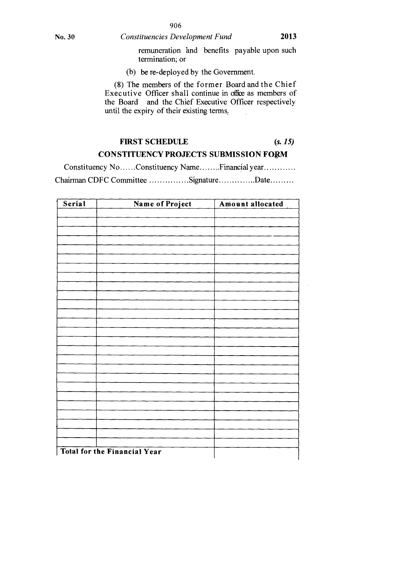remuneration and benefits payable upon such termination; or

(b) be re-deployed by the Government.

(8) The members of the former Board and the Chief Executive Officer shall continue in office as members of the Board and the Chief Executive Officer respectively until the expiry of their existing terms,

# **FIRST SCHEDULE** *(s. 15)*

### **CONSTITUENCY PROJECTS SUBMISSION** FORM

Constituency No ......Constituency Name ........Financial year ........... Chairman CDFC Committee ..............Signature .............Date.........

| Serial | Name of Project                     | Amount allocated |
|--------|-------------------------------------|------------------|
|        |                                     |                  |
|        |                                     |                  |
|        |                                     |                  |
|        |                                     |                  |
|        |                                     |                  |
|        |                                     |                  |
|        |                                     |                  |
|        |                                     |                  |
|        |                                     |                  |
|        |                                     |                  |
|        |                                     |                  |
|        |                                     |                  |
|        |                                     |                  |
|        |                                     |                  |
|        |                                     |                  |
|        |                                     |                  |
|        |                                     |                  |
|        |                                     |                  |
|        |                                     |                  |
|        |                                     |                  |
|        |                                     |                  |
|        |                                     |                  |
|        |                                     |                  |
|        |                                     |                  |
|        |                                     |                  |
|        | <b>Total for the Financial Year</b> |                  |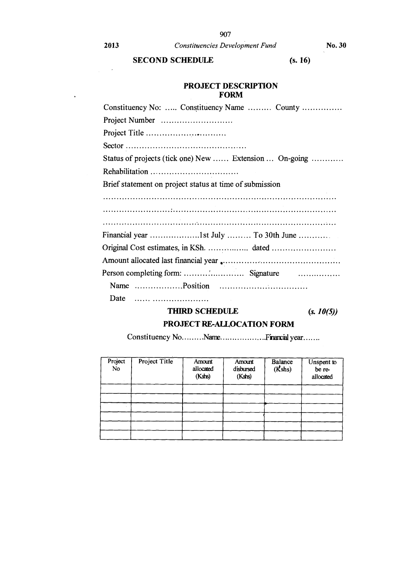$\sim$   $\epsilon$ 

 $\ddot{\bullet}$ 

**2013** *Constituencies Development Fund* **No. 30** 

### **SECOND SCHEDULE** (s. 16)

### **PROJECT DESCRIPTION FORM**

| Constituency No:  Constituency Name  County             |
|---------------------------------------------------------|
|                                                         |
|                                                         |
|                                                         |
| Status of projects (tick one) New  Extension  On-going  |
|                                                         |
| Brief statement on project status at time of submission |
|                                                         |
|                                                         |
|                                                         |
|                                                         |
|                                                         |
|                                                         |
|                                                         |
|                                                         |
| Date                                                    |

## **THIRD SCHEDULE** *(s. 10(5))*

### **PROJECT RE-ALLOCATION FORM**

Constituency No .........Name....................Financial year.......

| Project<br>No | Project Title | Amount<br>allocated<br>(Kshs) | Amount<br>disbursed<br>$(K$ shs $)$ | Balance<br>(Kshs) | Unspent to<br>be re-<br>allocated |
|---------------|---------------|-------------------------------|-------------------------------------|-------------------|-----------------------------------|
|               |               |                               |                                     |                   |                                   |
|               |               |                               |                                     |                   |                                   |
|               |               |                               |                                     |                   |                                   |
|               |               |                               |                                     |                   |                                   |
|               |               |                               |                                     |                   |                                   |
|               |               |                               |                                     |                   |                                   |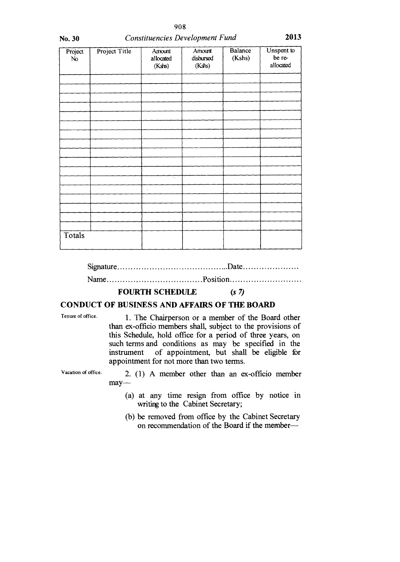| No. 30        | <b>Constituencies Development Fund</b> | 2013                          |                               |                   |                                   |
|---------------|----------------------------------------|-------------------------------|-------------------------------|-------------------|-----------------------------------|
| Project<br>No | Project Title                          | Amount<br>allocated<br>(Kshs) | Amount<br>disbursed<br>(Kshs) | Balance<br>(Kshs) | Unspent to<br>be re-<br>allocated |
|               |                                        |                               |                               |                   |                                   |
|               |                                        |                               |                               |                   |                                   |
|               |                                        |                               | ÷.                            |                   | ú.                                |
|               |                                        |                               |                               |                   |                                   |
|               |                                        |                               |                               |                   |                                   |
|               |                                        | τ                             |                               |                   |                                   |
|               |                                        |                               |                               |                   |                                   |
|               |                                        |                               |                               |                   |                                   |
| Totals        | ÷,                                     |                               |                               |                   |                                   |
|               |                                        |                               |                               |                   |                                   |

Signature Date

Name Position

#### **FOURTH SCHEDULE** *(s* **7)**

### **CONDUCT OF BUSINESS AND AFFAIRS OF THE BOARD**

Tenure of office. 1. The Chairperson or a member of the Board other than ex-officio members shall, subject to the provisions of this Schedule, hold office for a period of three years, on such terms and conditions as may be specified in the instrument of appointment, but shall be eligible for appointment for not more than two terms.

Vacation of office. 2. (1) A member other than an ex-officio member may—

- (a) at any time resign from office by notice in writing to the Cabinet Secretary;
- (b) be removed from office by the Cabinet Secretary on recommendation of the Board if the member—

908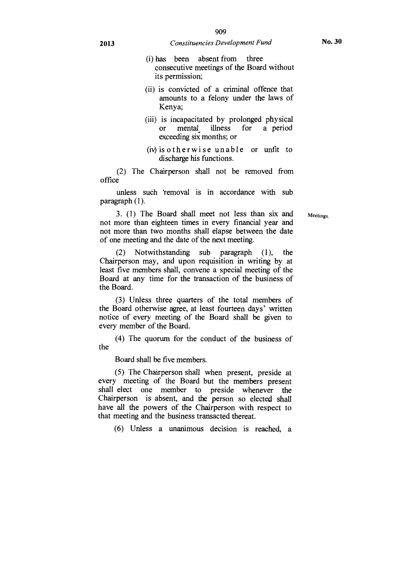### **2013** *Constituencies Development Fund* **No. 30**

- (i) has been absent from three consecutive meetings of the Board without its permission;
- (ii) is convicted of a criminal offence that amounts to a felony under the laws of Kenya;
- (iii) is incapacitated by prolonged physical or mental. illness for a period exceeding six months; or
- (iv)is otherwise unable or unfit to discharge his functions.

(2) The Chairperson shall not be removed from office

unless such 'removal is in accordance with sub paragraph (1).

3. (1) The Board shall meet not less than six and not more than eighteen times in every financial year and not more than two months shall elapse between the date of one meeting and the date of the next meeting.

(2) Notwithstanding sub paragraph (1), the Chairperson may, and upon requisition in writing by at least five members shall, convene a special meeting of the Board at any time for the transaction of the business of the Board.

(3) Unless three quarters of the total members of the Board otherwise agree, at least fourteen days' written notice of every meeting of the Board shall be given to every member of the Board.

(4) The quorum for the conduct of the business of the

Board shall be five members.

(5) The Chairperson shall when present, preside at every meeting of the Board but the members present shall elect one member to preside whenever the Chairperson is absent, and the person so elected shall have all the powers of the Chairperson with respect to that meeting and the business transacted thereat.

(6) Unless a unanimous decision is reached, a

Meetings.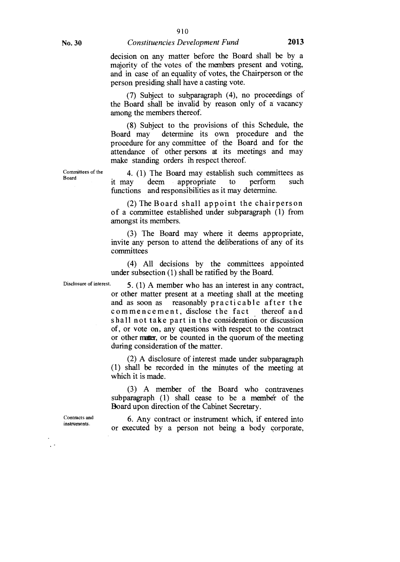(7) Subject to subparagraph (4), no proceedings of the Board shall be invalid by reason only of a vacancy among the members thereof.

(8) Subject to the provisions of this Schedule, the Board may determine its own procedure and the procedure for any committee of the Board and for the attendance of other persons at its meetings and may make standing orders in respect thereof.

Committees of the Board

4. (1) The Board may establish such committees as it may deem appropriate to perform such functions and responsibilities as it may determine.

(2) The Board shall appoint the chairperson of a committee established under subparagraph (1) from amongst its members.

(3) The Board may where it deems appropriate, invite any person to attend the deliberations of any of its committees

(4) All decisions by the committees appointed under subsection (1) shall be ratified by the Board.

Disclosure of interest. 5. (1) A member who has an interest in any contract, or other matter present at a meeting shall at the meeting and as soon as reasonably practicable after the commencement, disclose the fact thereof and shall not take part in the consideration or discussion of, or vote on, any questions with respect to the contract or other matter, or be counted in the quorum of the meeting during consideration of the matter.

> (2) A disclosure of interest made under subparagraph (1) shall be recorded in the minutes of the meeting at which it is made.

> (3) A member of the Board who contravenes subparagraph (1) shall cease to be a member of the Board upon direction of the Cabinet Secretary.

> 6. Any contract or instrument which, if entered into or executed by a person not being a body corporate,

Contracts and instruments.